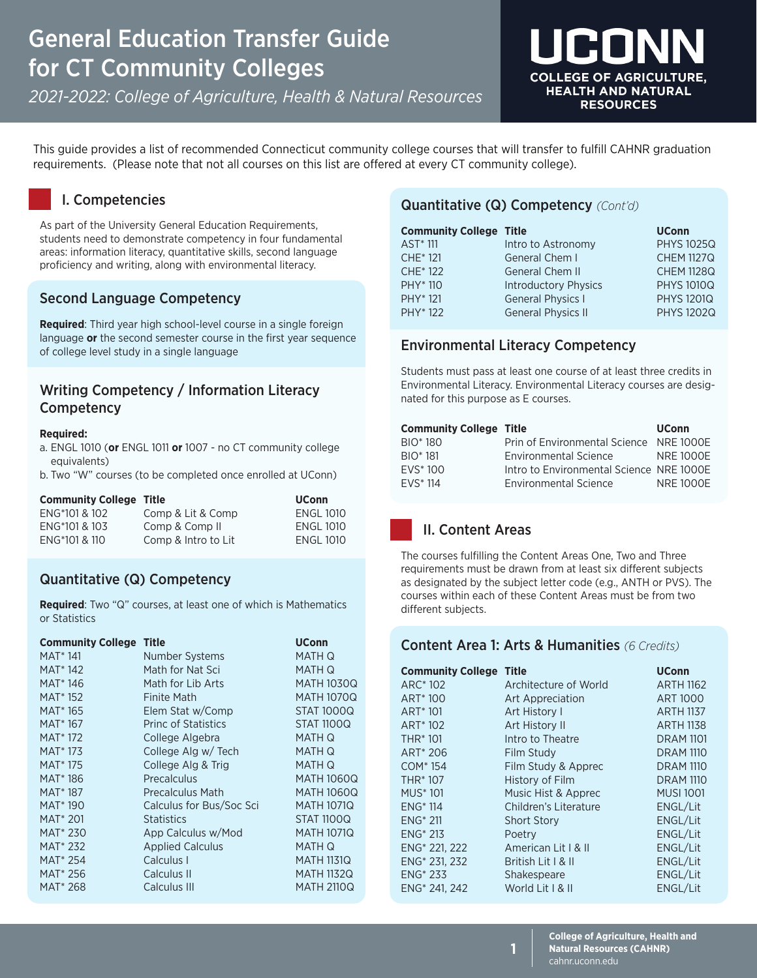# General Education Transfer Guide for CT Community Colleges

*2021-2022: College of Agriculture, Health & Natural Resources*



This guide provides a list of recommended Connecticut community college courses that will transfer to fulfill CAHNR graduation requirements. (Please note that not all courses on this list are offered at every CT community college).

### I. Competencies

As part of the University General Education Requirements, students need to demonstrate competency in four fundamental areas: information literacy, quantitative skills, second language proficiency and writing, along with environmental literacy.

### Second Language Competency

**Required**: Third year high school-level course in a single foreign language **or** the second semester course in the first year sequence of college level study in a single language

### Writing Competency / Information Literacy **Competency**

#### **Required:**

- a. ENGL 1010 (**or** ENGL 1011 **or** 1007 no CT community college equivalents)
- b. Two "W" courses (to be completed once enrolled at UConn)

| <b>Community College Title</b> |                     | <b>UConn</b>     |
|--------------------------------|---------------------|------------------|
| ENG*101 & 102                  | Comp & Lit & Comp   | <b>ENGL 1010</b> |
| ENG*101 & 103                  | Comp & Comp II      | <b>ENGL 1010</b> |
| ENG*101 & 110                  | Comp & Intro to Lit | <b>ENGL 1010</b> |

### Quantitative (Q) Competency

**Required**: Two "Q" courses, at least one of which is Mathematics or Statistics

| <b>Community College</b> | <b>Title</b>               | <b>UConn</b>      |
|--------------------------|----------------------------|-------------------|
| MAT <sup>*</sup> 141     | Number Systems             | MATH Q            |
| <b>MAT</b> *142          | Math for Nat Sci           | MATH Q            |
| MAT <sup>*</sup> 146     | Math for Lib Arts          | <b>MATH 1030Q</b> |
| MAT <sup>*</sup> 152     | <b>Finite Math</b>         | <b>MATH 1070Q</b> |
| MAT <sup>*</sup> 165     | Elem Stat w/Comp           | <b>STAT 1000Q</b> |
| MAT <sup>*</sup> 167     | <b>Princ of Statistics</b> | <b>STAT 1100Q</b> |
| <b>MAT</b> *172          | College Algebra            | MATH Q            |
| MAT <sup>*</sup> 173     | College Alg w/ Tech        | MATH Q            |
| MAT <sup>*</sup> 175     | College Alg & Trig         | MATH Q            |
| MAT <sup>*</sup> 186     | Precalculus                | <b>MATH 1060Q</b> |
| MAT <sup>*</sup> 187     | Precalculus Math           | <b>MATH 1060Q</b> |
| MAT <sup>*</sup> 190     | Calculus for Bus/Soc Sci   | <b>MATH 1071Q</b> |
| <b>MAT* 201</b>          | <b>Statistics</b>          | <b>STAT 1100Q</b> |
| MAT <sup>*</sup> 230     | App Calculus w/Mod         | <b>MATH 1071Q</b> |
| MAT <sup>*</sup> 232     | <b>Applied Calculus</b>    | MATH Q            |
| MAT <sup>*</sup> 254     | Calculus I                 | <b>MATH 1131Q</b> |
| MAT <sup>*</sup> 256     | Calculus II                | <b>MATH 1132Q</b> |
| MAT <sup>*</sup> 268     | Calculus III               | <b>MATH 2110Q</b> |

### Quantitative (Q) Competency *(Cont'd)*

| <b>Community College Title</b> |                             | <b>UConn</b>      |
|--------------------------------|-----------------------------|-------------------|
| AST <sup>*</sup> 111           | Intro to Astronomy          | <b>PHYS 1025Q</b> |
| CHE <sup>*</sup> 121           | General Chem I              | <b>CHEM 1127Q</b> |
| CHE <sup>*</sup> 122           | <b>General Chem II</b>      | <b>CHEM 1128Q</b> |
| PHY <sup>*</sup> 110           | <b>Introductory Physics</b> | <b>PHYS 1010Q</b> |
| PHY <sup>*</sup> 121           | <b>General Physics I</b>    | <b>PHYS 1201Q</b> |
| PHY <sup>*</sup> 122           | <b>General Physics II</b>   | <b>PHYS 1202Q</b> |

### Environmental Literacy Competency

Students must pass at least one course of at least three credits in Environmental Literacy. Environmental Literacy courses are designated for this purpose as E courses.

| <b>Community College Title</b> |                                          | <b>UConn</b>    |
|--------------------------------|------------------------------------------|-----------------|
| BIO <sup>*</sup> 180           | Prin of Environmental Science NRE 1000E  |                 |
| <b>BIO</b> * 181               | <b>Environmental Science</b>             | <b>NRF1000F</b> |
| $FVS^*100$                     | Intro to Environmental Science NRE 1000E |                 |
| <b>FVS</b> * 114               | <b>Environmental Science</b>             | <b>NRF1000F</b> |

### II. Content Areas

The courses fulfilling the Content Areas One, Two and Three requirements must be drawn from at least six different subjects as designated by the subject letter code (e.g., ANTH or PVS). The courses within each of these Content Areas must be from two different subjects.

### Content Area 1: Arts & Humanities *(6 Credits)*

| <b>Community College</b>    | <b>Title</b>          | <b>UConn</b>     |
|-----------------------------|-----------------------|------------------|
| ARC <sup>*</sup> 102        | Architecture of World | <b>ARTH 1162</b> |
| ART <sup>*</sup> 100        | Art Appreciation      | <b>ART 1000</b>  |
| ART <sup>*</sup> 101        | Art History I         | <b>ARTH 1137</b> |
| ART <sup>*</sup> 102        | Art History II        | <b>ARTH 1138</b> |
| <b>THR*101</b>              | Intro to Theatre      | <b>DRAM 1101</b> |
| ART <sup>*</sup> 206        | Film Study            | <b>DRAM 1110</b> |
| COM <sup>*</sup> 154        | Film Study & Apprec   | <b>DRAM 1110</b> |
| THR <sup>*</sup> 107        | History of Film       | <b>DRAM 1110</b> |
| <b>MUS</b> <sup>*</sup> 101 | Music Hist & Apprec   | <b>MUSI 1001</b> |
| <b>ENG* 114</b>             | Children's Literature | ENGL/Lit         |
| $ENG* 211$                  | <b>Short Story</b>    | ENGL/Lit         |
| $ENG* 213$                  | Poetry                | ENGL/Lit         |
| ENG <sup>*</sup> 221, 222   | American Lit   & II   | ENGL/Lit         |
| ENG <sup>*</sup> 231, 232   | British Lit   & II    | ENGL/Lit         |
| <b>ENG</b> * 233            | Shakespeare           | ENGL/Lit         |
| ENG <sup>*</sup> 241, 242   | World Lit   & II      | ENGL/Lit         |

**1**